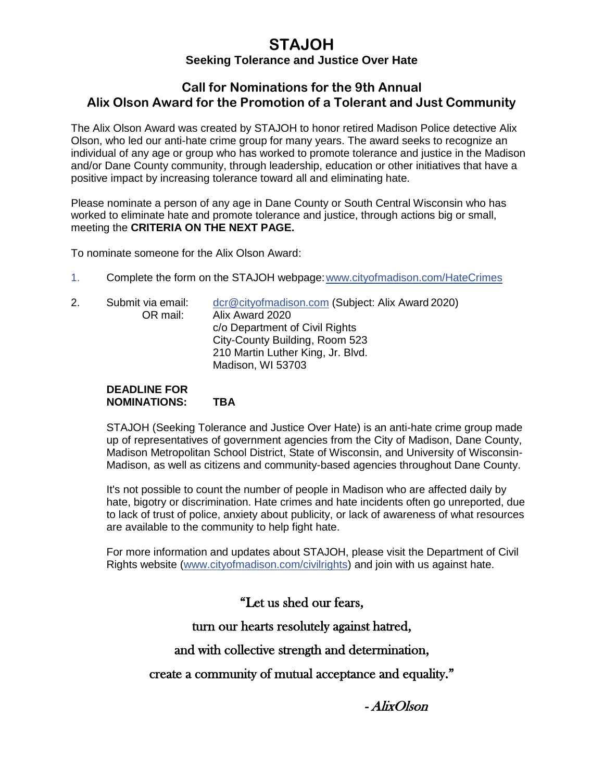# **STAJOH**

### **Seeking Tolerance and Justice Over Hate**

## **Call for Nominations for the 9th Annual Alix Olson Award for the Promotion of a Tolerant and Just Community**

The Alix Olson Award was created by STAJOH to honor retired Madison Police detective Alix Olson, who led our anti-hate crime group for many years. The award seeks to recognize an individual of any age or group who has worked to promote tolerance and justice in the Madison and/or Dane County community, through leadership, education or other initiatives that have a positive impact by increasing tolerance toward all and eliminating hate.

Please nominate a person of any age in Dane County or South Central Wisconsin who has worked to eliminate hate and promote tolerance and justice, through actions big or small, meeting the **CRITERIA ON THE NEXT PAGE.**

To nominate someone for the Alix Olson Award:

- 1. Complete the form on the STAJOH webpage[:www.cityofmadison.com/HateCrimes](http://www.cityofmadison.com/HateCrimes)
- 2. Submit via email: [dcr@cityofmadison.com](mailto:dcr@cityofmadison.com) (Subject: Alix Award 2020) OR mail: Alix Award 2020 c/o Department of Civil Rights City-County Building, Room 523 210 Martin Luther King, Jr. Blvd. Madison, WI 53703

#### **DEADLINE FOR NOMINATIONS: TBA**

STAJOH (Seeking Tolerance and Justice Over Hate) is an anti-hate crime group made up of representatives of government agencies from the City of Madison, Dane County, Madison Metropolitan School District, State of Wisconsin, and University of Wisconsin-Madison, as well as citizens and community-based agencies throughout Dane County.

It's not possible to count the number of people in Madison who are affected daily by hate, bigotry or discrimination. Hate crimes and hate incidents often go unreported, due to lack of trust of police, anxiety about publicity, or lack of awareness of what resources are available to the community to help fight hate.

For more information and updates about STAJOH, please visit the Department of Civil Rights website [\(www.cityofmadison.com/civilrights\)](http://www.cityofmadison.com/civilrights) and join with us against hate.

"Let us shed our fears,

turn our hearts resolutely against hatred,

# and with collective strength and determination,

create a community of mutual acceptance and equality."

- AlixOlson